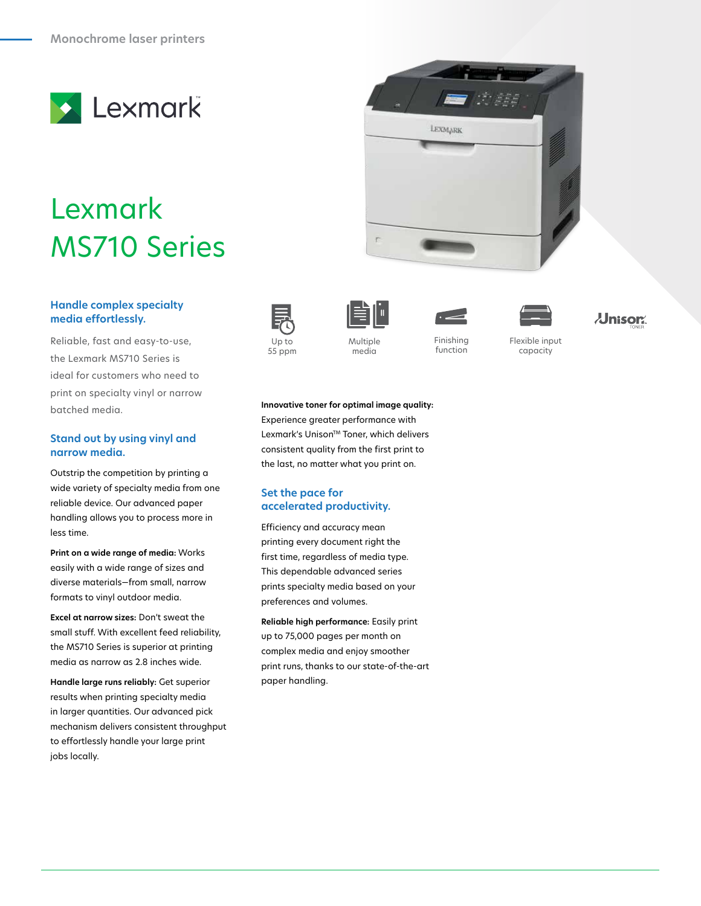

# Lexmark MS710 Series

### **Handle complex specialty media effortlessly.**

Reliable, fast and easy-to-use, the Lexmark MS710 Series is ideal for customers who need to print on specialty vinyl or narrow batched media.

#### **Stand out by using vinyl and narrow media.**

Outstrip the competition by printing a wide variety of specialty media from one reliable device. Our advanced paper handling allows you to process more in less time.

**Print on a wide range of media:** Works easily with a wide range of sizes and diverse materials—from small, narrow formats to vinyl outdoor media.

**Excel at narrow sizes:** Don't sweat the small stuff. With excellent feed reliability, the MS710 Series is superior at printing media as narrow as 2.8 inches wide.

**Handle large runs reliably:** Get superior results when printing specialty media in larger quantities. Our advanced pick mechanism delivers consistent throughput to effortlessly handle your large print jobs locally.















55 ppm

media

Up to 35 Multiple 5 Multiple Finishing function

Flexible input Color 2.4" LCD Standard capacity

#### **Innovative toner for optimal image quality:** Experience greater performance with Lexmark's Unison™ Toner, which delivers consistent quality from the first print to the last, no matter what you print on.

## **Set the pace for accelerated productivity.**

Efficiency and accuracy mean printing every document right the first time, regardless of media type. This dependable advanced series prints specialty media based on your preferences and volumes.

**Reliable high performance:** Easily print up to 75,000 pages per month on complex media and enjoy smoother print runs, thanks to our state-of-the-art paper handling.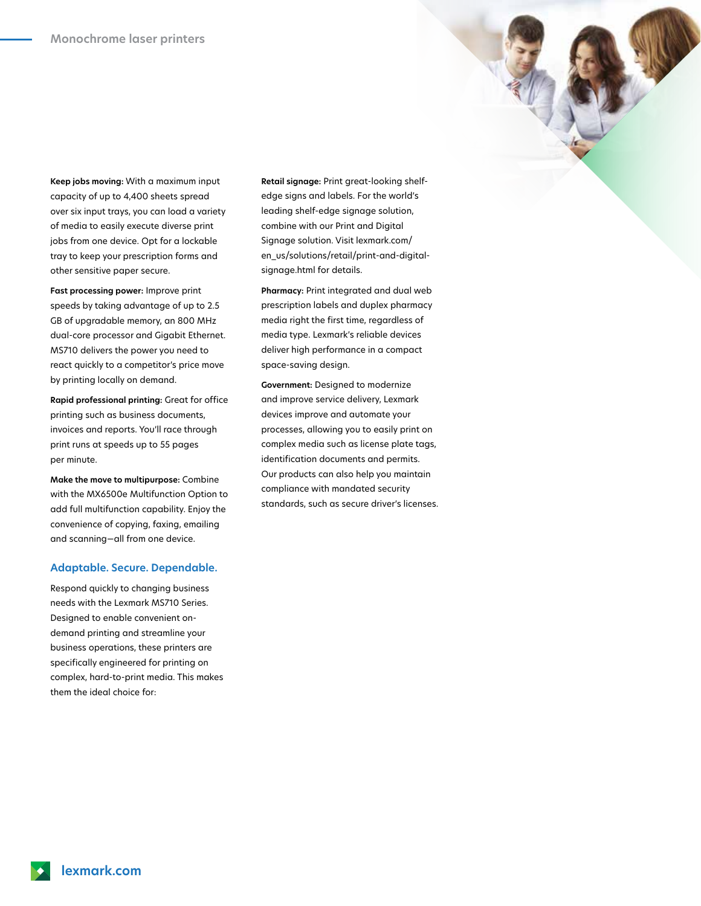**Keep jobs moving:** With a maximum input capacity of up to 4,400 sheets spread over six input trays, you can load a variety of media to easily execute diverse print jobs from one device. Opt for a lockable tray to keep your prescription forms and other sensitive paper secure.

**Fast processing power:** Improve print speeds by taking advantage of up to 2.5 GB of upgradable memory, an 800 MHz dual-core processor and Gigabit Ethernet. MS710 delivers the power you need to react quickly to a competitor's price move by printing locally on demand.

**Rapid professional printing:** Great for office printing such as business documents, invoices and reports. You'll race through print runs at speeds up to 55 pages per minute.

**Make the move to multipurpose:** Combine with the MX6500e Multifunction Option to add full multifunction capability. Enjoy the convenience of copying, faxing, emailing and scanning—all from one device.

#### **Adaptable. Secure. Dependable.**

Respond quickly to changing business needs with the Lexmark MS710 Series. Designed to enable convenient ondemand printing and streamline your business operations, these printers are specifically engineered for printing on complex, hard-to-print media. This makes them the ideal choice for:

**Retail signage:** Print great-looking shelfedge signs and labels. For the world's leading shelf-edge signage solution, combine with our Print and Digital Signage solution. Visit lexmark.com/ en\_us/solutions/retail/print-and-digitalsignage.html for details.

**Pharmacy:** Print integrated and dual web prescription labels and duplex pharmacy media right the first time, regardless of media type. Lexmark's reliable devices deliver high performance in a compact space-saving design.

**Government:** Designed to modernize and improve service delivery, Lexmark devices improve and automate your processes, allowing you to easily print on complex media such as license plate tags, identification documents and permits. Our products can also help you maintain compliance with mandated security standards, such as secure driver's licenses.